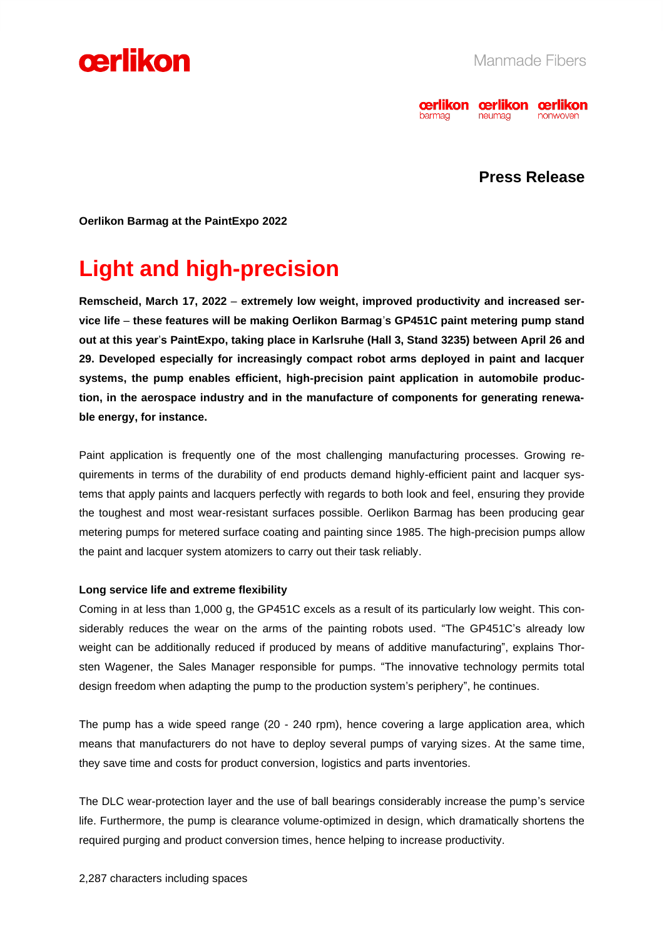



## **Press Release**

**Oerlikon Barmag at the PaintExpo 2022**

# **Light and high-precision**

**Remscheid, March 17, 2022** – **extremely low weight, improved productivity and increased service life** – **these features will be making Oerlikon Barmag**'**s GP451C paint metering pump stand out at this year**'**s PaintExpo, taking place in Karlsruhe (Hall 3, Stand 3235) between April 26 and 29. Developed especially for increasingly compact robot arms deployed in paint and lacquer systems, the pump enables efficient, high-precision paint application in automobile production, in the aerospace industry and in the manufacture of components for generating renewable energy, for instance.** 

Paint application is frequently one of the most challenging manufacturing processes. Growing requirements in terms of the durability of end products demand highly-efficient paint and lacquer systems that apply paints and lacquers perfectly with regards to both look and feel, ensuring they provide the toughest and most wear-resistant surfaces possible. Oerlikon Barmag has been producing gear metering pumps for metered surface coating and painting since 1985. The high-precision pumps allow the paint and lacquer system atomizers to carry out their task reliably.

#### **Long service life and extreme flexibility**

Coming in at less than 1,000 g, the GP451C excels as a result of its particularly low weight. This considerably reduces the wear on the arms of the painting robots used. "The GP451C's already low weight can be additionally reduced if produced by means of additive manufacturing", explains Thorsten Wagener, the Sales Manager responsible for pumps. "The innovative technology permits total design freedom when adapting the pump to the production system's periphery", he continues.

The pump has a wide speed range (20 - 240 rpm), hence covering a large application area, which means that manufacturers do not have to deploy several pumps of varying sizes. At the same time, they save time and costs for product conversion, logistics and parts inventories.

The DLC wear-protection layer and the use of ball bearings considerably increase the pump's service life. Furthermore, the pump is clearance volume-optimized in design, which dramatically shortens the required purging and product conversion times, hence helping to increase productivity.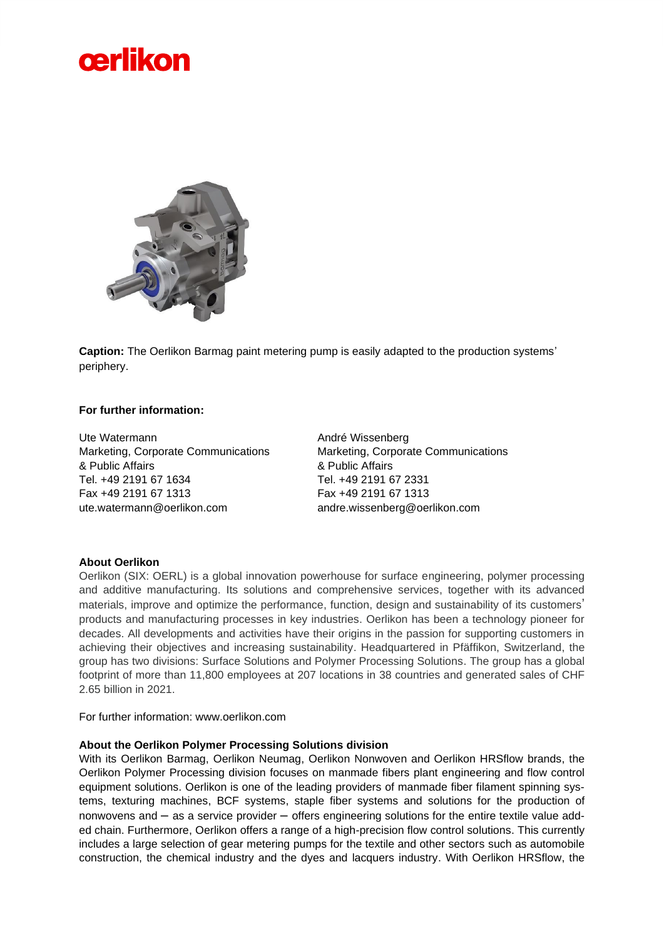



**Caption:** The Oerlikon Barmag paint metering pump is easily adapted to the production systems' periphery.

### **For further information:**

Ute Watermann Marketing, Corporate Communications & Public Affairs Tel. +49 2191 67 1634 Fax +49 2191 67 1313 ute.watermann@oerlikon.com

André Wissenberg Marketing, Corporate Communications & Public Affairs Tel. +49 2191 67 2331 Fax +49 2191 67 1313 andre.wissenberg@oerlikon.com

### **About Oerlikon**

Oerlikon (SIX: OERL) is a global innovation powerhouse for surface engineering, polymer processing and additive manufacturing. Its solutions and comprehensive services, together with its advanced materials, improve and optimize the performance, function, design and sustainability of its customers' products and manufacturing processes in key industries. Oerlikon has been a technology pioneer for decades. All developments and activities have their origins in the passion for supporting customers in achieving their objectives and increasing sustainability. Headquartered in Pfäffikon, Switzerland, the group has two divisions: Surface Solutions and Polymer Processing Solutions. The group has a global footprint of more than 11,800 employees at 207 locations in 38 countries and generated sales of CHF 2.65 billion in 2021.

For further information: www.oerlikon.com

### **About the Oerlikon Polymer Processing Solutions division**

With its Oerlikon Barmag, Oerlikon Neumag, Oerlikon Nonwoven and Oerlikon HRSflow brands, the Oerlikon Polymer Processing division focuses on manmade fibers plant engineering and flow control equipment solutions. Oerlikon is one of the leading providers of manmade fiber filament spinning systems, texturing machines, BCF systems, staple fiber systems and solutions for the production of nonwovens and – as a service provider – offers engineering solutions for the entire textile value added chain. Furthermore, Oerlikon offers a range of a high-precision flow control solutions. This currently includes a large selection of gear metering pumps for the textile and other sectors such as automobile construction, the chemical industry and the dyes and lacquers industry. With Oerlikon HRSflow, the